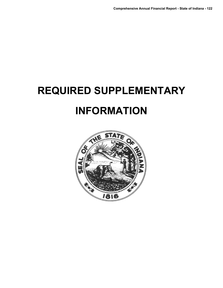# **REQUIRED SUPPLEMENTARY INFORMATION**

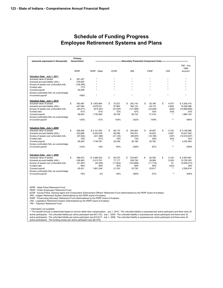## **Schedule of Funding Progress Employee Retirement Systems and Plans**

|                                       |    | Primary     |                                                                           |     |             |   |            |    |             |    |              |                               |
|---------------------------------------|----|-------------|---------------------------------------------------------------------------|-----|-------------|---|------------|----|-------------|----|--------------|-------------------------------|
| (amounts expressed in thousands)      |    | Government  | --- Discretely Presented Component Units-----------------------------<br> |     |             |   |            |    |             |    |              |                               |
|                                       |    | <b>SPRF</b> | PERF - State                                                              |     | <b>ECRF</b> |   | <b>JRS</b> |    | <b>PARF</b> |    | <b>LRS</b>   | TRF - Pre-<br>1996<br>Account |
|                                       |    |             |                                                                           |     |             |   |            |    |             |    |              |                               |
| Valuation Date: July 1, 2011          |    |             |                                                                           |     |             |   |            |    |             |    |              |                               |
| Actuarial value of assets             | \$ | 361,457     |                                                                           |     |             |   | ÷          |    | $\star$     |    | $\star$      |                               |
| Actuarial accrued liability (AAL)     |    | 470,852     |                                                                           |     | $\star$     |   | ÷          |    | $\star$     |    | $\star$      |                               |
| Excess of assets over (unfunded) AAL  |    | (109, 395)  |                                                                           |     |             |   |            |    |             |    |              |                               |
| Funded ratio                          |    | 77%         |                                                                           |     |             |   |            |    |             |    |              |                               |
| Covered payroll                       |    | 64,948      |                                                                           |     | ٠           |   | $\star$    |    | ٠           |    | ٠            |                               |
| Excess (unfunded) AAL as a percentage |    |             |                                                                           |     | $\star$     |   | $\star$    |    | $\star$     |    | $\star$      |                               |
| of covered payroll                    |    | $-168%$     |                                                                           |     |             |   |            |    |             |    |              |                               |
| Valuation Date: July 1, 2010          |    |             |                                                                           |     |             |   |            |    |             |    |              |                               |
| Actuarial value of assets             | S  | 363,487     | \$1,803,664                                                               | S   | 70,327      | S | 242,143    | \$ | 26,166      | \$ | 4,075        | \$5,382,410                   |
| Actuarial accrued liability (AAL)     |    | 447,064     | 2,678,031                                                                 |     | 97,862      |   | 364,123    |    | 49.174      |    | 4.909        | 16,282,066                    |
| Excess of assets over (unfunded) AAL  |    | (83, 577)   | (874, 367)                                                                |     | (27, 535)   |   | (121,980)  |    | (23,008)    |    | (834)        | (10,899,656)                  |
| Funded ratio                          |    | 81%         | 67%                                                                       |     | 72%         |   | 67%        |    | 53%         |    | 83%          | 33%                           |
| Covered payroll                       |    | 66,603      | 1,730,480                                                                 |     | 26,709      |   | 36.722     |    | 21,016      |    | $\star\star$ | 1,865,102                     |
| Excess (unfunded) AAL as a percentage |    |             |                                                                           |     |             |   |            |    |             |    |              |                               |
| of covered payroll                    |    | $-125%$     | $-51%$                                                                    |     | $-103%$     |   | $-332%$    |    | $-109%$     |    | $\star\star$ | $-584%$                       |
|                                       |    |             |                                                                           |     |             |   |            |    |             |    |              |                               |
| Valuation Date: July 1, 2009          |    |             |                                                                           |     |             |   |            |    |             |    |              |                               |
| Actuarial value of assets             | S  | 356,056     | \$2,121,550                                                               | S   | 68,170      | S | 240,954    | \$ | 26,467      | \$ | 4,730        | \$5,109,086                   |
| Actuarial accrued liability (AAL)     |    | 453,688     | 2,443,039                                                                 |     | 89,296      |   | 330,551    |    | 44,632      |    | 5,087        | 16,027,093                    |
| Excess of assets over (unfunded) AAL  |    | (97, 632)   | (321, 489)                                                                |     | (21, 126)   |   | (89, 597)  |    | (18, 165)   |    | (357)        | (10, 918, 007)                |
| Funded ratio                          |    | 78%         | 87%                                                                       |     | 76%         |   | 73%        |    | 59%         |    | 93%          | 32%                           |
| Covered payroll                       |    | 68,283      | 1,749,781                                                                 |     | 25,238      |   | 36,196     |    | 20,782      |    | $\star\star$ | 2,030,484                     |
| Excess (unfunded) AAL as a percentage |    |             |                                                                           |     |             |   |            |    |             |    |              |                               |
| of covered payroll                    |    | $-143%$     | $-18%$                                                                    |     | $-84%$      |   | $-248%$    |    | $-87%$      |    | $\star\star$ | -538%                         |
|                                       |    |             |                                                                           |     |             |   |            |    |             |    |              |                               |
| Valuation Date: July 1, 2008          |    |             |                                                                           |     |             |   |            |    |             |    |              |                               |
| Actuarial value of assets             | \$ | 386,873     | \$2,469,432                                                               | \$. | 65,375      | S | 234,881    | S  | 26,350      | \$ | 5.120        | \$5,953,991                   |
| Actuarial accrued liability (AAL)     |    | 438,460     | 2,513,791                                                                 |     | 77,177      |   | 338,749    |    | 38,069      |    | 5,039        | 15,792,305                    |
| Excess of assets over (unfunded) AAL  |    | (51, 587)   | (44, 359)                                                                 |     | (11, 802)   |   | (103, 868) |    | (11, 719)   |    | 81           | (9,838,314)                   |
| Funded ratio                          |    | 88%         | 98%                                                                       |     | 85%         |   | 69%        |    | 69%         |    | 102%         | 38%                           |
| Covered payroll                       |    | 65,421      | 1,661,248                                                                 |     | 21,333      |   | 33,729     |    | 20,617      |    | $***$        | 2,295,816                     |
| Excess (unfunded) AAL as a percentage |    |             |                                                                           |     |             |   |            |    |             |    | $\star\star$ |                               |
| of covered payroll                    |    | $-79%$      | -3%                                                                       |     | $-55%$      |   | $-308%$    |    | $-57%$      |    |              | -429%                         |

SPRF - State Police Retirement Fund

PERF - Public Employees' Retirement Fund

ECRF - Excise Police, Gaming Agent and Conservation Enforcement Officers' Retirement Fund (Administered by the PERF board of trustees)

JRS - Judges' Retirement System (Administered by the PERF board of trustees)

PARF - Prosecuting Attorneys' Retirement Fund (Administered by the PERF board of trustees) LRS - Legislators' Retirement System (Administered by the PERF board of trustees)

TRF - Teachers' Retirement Fund

\* Information not available

\*\* The benefit formula is determined based on service rather than compensation. July 1, 2010: The unfunded liability is expressed per active participant and there were 20<br>active participants. The unfunded liability per act active participants. The funding excess per active participant was (\$2,378).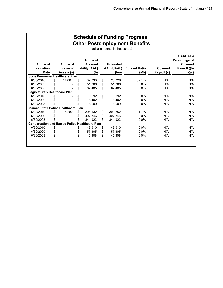|                                                       | <b>Schedule of Funding Progress</b><br><b>Other Postemployment Benefits</b><br>(dollar amounts in thousands) |                                            |    |                                                                     |    |                                                 |                              |                        |                                                                         |  |  |  |
|-------------------------------------------------------|--------------------------------------------------------------------------------------------------------------|--------------------------------------------|----|---------------------------------------------------------------------|----|-------------------------------------------------|------------------------------|------------------------|-------------------------------------------------------------------------|--|--|--|
| <b>Actuarial</b><br><b>Valuation</b><br>Date          |                                                                                                              | <b>Actuarial</b><br>Value of<br>Assets (a) |    | <b>Actuarial</b><br><b>Accrued</b><br><b>Liability (AAL)</b><br>(b) |    | <b>Unfunded</b><br><b>AAL (UAAL)</b><br>$(b-a)$ | <b>Funded Ratio</b><br>(a/b) | Covered<br>Payroll (c) | <b>UAAL</b> as a<br>Percentage of<br>Covered<br>Payroll ((b-<br>$a/C$ ) |  |  |  |
| <b>State Personnel Healthcare Plan</b>                |                                                                                                              |                                            |    |                                                                     |    |                                                 |                              |                        |                                                                         |  |  |  |
| 6/30/2010                                             | \$                                                                                                           | 14,007                                     | \$ | 37,733                                                              | \$ | 23,726                                          | 37.1%                        | N/A                    | N/A                                                                     |  |  |  |
| 6/30/2009                                             | \$                                                                                                           |                                            | \$ | 51.306                                                              | \$ | 51.306                                          | 0.0%                         | N/A                    | N/A                                                                     |  |  |  |
| 6/30/2008                                             | \$                                                                                                           |                                            | \$ | 67.405                                                              | \$ | 67,405                                          | 0.0%                         | N/A                    | N/A                                                                     |  |  |  |
| Legislature's Healthcare Plan                         |                                                                                                              |                                            |    |                                                                     |    |                                                 |                              |                        |                                                                         |  |  |  |
| 6/30/2010                                             | \$                                                                                                           |                                            | \$ | 9.092                                                               | \$ | 9.092                                           | $0.0\%$                      | N/A                    | N/A                                                                     |  |  |  |
| 6/30/2009                                             | \$                                                                                                           |                                            | \$ | 8.402                                                               | \$ | 8.402                                           | $0.0\%$                      | N/A                    | N/A                                                                     |  |  |  |
| 6/30/2008                                             | \$                                                                                                           |                                            | \$ | 8.009                                                               | \$ | 8.009                                           | 0.0%                         | N/A                    | N/A                                                                     |  |  |  |
| Indiana State Police Healthcare Plan                  |                                                                                                              |                                            |    |                                                                     |    |                                                 |                              |                        |                                                                         |  |  |  |
| 6/30/2010                                             | \$                                                                                                           | 5.280                                      | \$ | 306,132                                                             | \$ | 300,852                                         | 1.7%                         | N/A                    | N/A                                                                     |  |  |  |
| 6/30/2009                                             | \$                                                                                                           |                                            | \$ | 407.846                                                             | \$ | 407.846                                         | 0.0%                         | N/A                    | N/A                                                                     |  |  |  |
| 6/30/2008                                             | \$                                                                                                           |                                            | \$ | 341.923                                                             | \$ | 341,923                                         | 0.0%                         | N/A                    | N/A                                                                     |  |  |  |
| <b>Conservation and Excise Police Healthcare Plan</b> |                                                                                                              |                                            |    |                                                                     |    |                                                 |                              |                        |                                                                         |  |  |  |
| 6/30/2010                                             | \$                                                                                                           |                                            | \$ | 49,510                                                              | \$ | 49,510                                          | 0.0%                         | N/A                    | N/A                                                                     |  |  |  |
| 6/30/2009                                             | \$                                                                                                           |                                            | \$ | 57,305                                                              | \$ | 57,305                                          | $0.0\%$                      | N/A                    | N/A                                                                     |  |  |  |
| 6/30/2008                                             | \$                                                                                                           |                                            | \$ | 45,308                                                              | \$ | 45,308                                          | 0.0%                         | N/A                    | N/A                                                                     |  |  |  |
|                                                       |                                                                                                              |                                            |    |                                                                     |    |                                                 |                              |                        |                                                                         |  |  |  |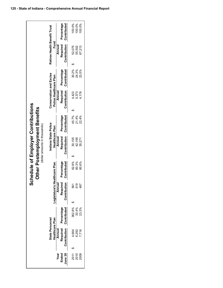|                                                                                                      |                              |                        |        | Percentage          | Contributed              | $00.0\%$ | 100.0%                   | 00.0%  |
|------------------------------------------------------------------------------------------------------|------------------------------|------------------------|--------|---------------------|--------------------------|----------|--------------------------|--------|
|                                                                                                      | Retiree Health Benefit Trust | Fund                   | Annual | Required            | Contribution             | 52,075   | 55,502                   | 67,213 |
|                                                                                                      |                              |                        |        | Required Percentage | Contributed              | 30.2%    | 24.3%                    | 23.5%  |
|                                                                                                      | Conservation and Excise      | Police Healthcare Plan | Annual |                     | Contribution             | 4,423    | 5,373                    | 4,178  |
| Schedule of Employer Contributions<br>Other Postemployment Benefits<br>(dollar amounts in thousands) |                              |                        |        | Percentage          | Contributed              | 45.7%    | 21.4%                    | 22.4%  |
|                                                                                                      | Indiana State Police         | Healthcare Plan        | Annual | Required            | Contribution             | 30,155   | 42,106                   | 35,271 |
|                                                                                                      |                              | Health care Plan       |        | Percentage          | Contributed              | 62.8%    | 60.3%                    | 60.6%  |
|                                                                                                      |                              | -egislature's          | Annual | Required            | Contribution             | 561      | 519                      | 497    |
|                                                                                                      |                              |                        |        | Percentage          |                          |          | 362.8%<br>30.4%<br>23.3% |        |
|                                                                                                      | State Personnel              | Healthcare Plan        | Annual | Required            | Contribution Contributed |          | 4,664<br>6,292<br>7,716  |        |
|                                                                                                      |                              |                        | Year   | Ended               | June 30                  |          | <u>ភ្នំ 3</u><br>ភូមិ 8  |        |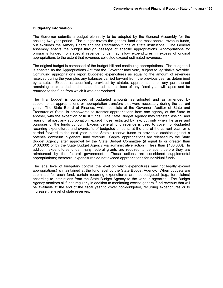### **Budgetary Information**

The Governor submits a budget biennially to be adopted by the General Assembly for the ensuing two-year period. The budget covers the general fund and most special revenue funds, but excludes the Armory Board and the Recreation funds at State institutions. The General Assembly enacts the budget through passage of specific appropriations. Appropriations for programs funded from special revenue funds may allow expenditures in excess of original appropriations to the extent that revenues collected exceed estimated revenues.

The original budget is composed of the budget bill and continuing appropriations. The budget bill is enacted as the Appropriations Act that the Governor may veto, subject to legislative override. Continuing appropriations report budgeted expenditures as equal to the amount of revenues received during the year plus any balances carried forward from the previous year as determined by statute. Except as specifically provided by statute, appropriations or any part thereof remaining unexpended and unencumbered at the close of any fiscal year will lapse and be returned to the fund from which it was appropriated.

The final budget is composed of budgeted amounts as adopted and as amended by supplemental appropriations or appropriation transfers that were necessary during the current year. The State Board of Finance, which consists of the Governor, Auditor of State and Treasurer of State, is empowered to transfer appropriations from one agency of the State to another, with the exception of trust funds. The State Budget Agency may transfer, assign, and reassign almost any appropriation, except those restricted by law; but only when the uses and purposes of the funds concur. Excess general fund revenue is used to cover non-budgeted recurring expenditures and overdrafts of budgeted amounts at the end of the current year, or is carried forward to the next year in the State's reserve funds to provide a cushion against a potential downturn in general fund revenue. Capital appropriations are released by the State Budget Agency after approval by the State Budget Committee (if equal to or greater than \$100,000) or by the State Budget Agency via administrative action (if less than \$100,000). In addition, expenditures under many federal grants are required to be spent before they are reimbursed by the federal government. These actions are considered supplemental appropriations; therefore, expenditures do not exceed appropriations for individual funds.

The legal level of budgetary control (the level on which expenditures may not legally exceed appropriations) is maintained at the fund level by the State Budget Agency. When budgets are submitted for each fund, certain recurring expenditures are not budgeted (e.g., tort claims) according to instructions from the State Budget Agency to the various agencies. The Budget Agency monitors all funds regularly in addition to monitoring excess general fund revenue that will be available at the end of the fiscal year to cover non-budgeted, recurring expenditures or to increase the level of state reserves.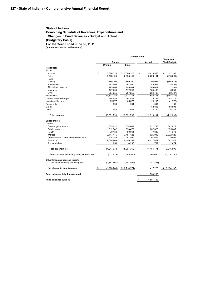#### **State of Indiana Combining Schedule of Revenues, Expenditures and Changes in Fund Balances - Budget and Actual (Budgetary Basis) For the Year Ended June 30, 2011 (amounts expressed in thousands)**

|                                              |    |               | <b>General Fund</b> |    |               |                     |
|----------------------------------------------|----|---------------|---------------------|----|---------------|---------------------|
|                                              |    |               |                     |    |               | Variance to         |
|                                              |    | <b>Budget</b> |                     |    | Actual        | <b>Final Budget</b> |
| Revenues:                                    |    | Original      | <b>Final</b>        |    |               |                     |
| Taxes:                                       |    |               |                     |    |               |                     |
| Income                                       | \$ | 5,366,326     | 5,366,326<br>\$     | S  | 5,418,508     | \$<br>52,182        |
| Sales                                        |    | 6,438,400     | 6,438,400           |    | 6,220,101     | (218, 299)          |
| Fuels                                        |    |               |                     |    |               |                     |
| Gaming                                       |    | 660,700       | 660,700             |    | 94,064        | (566, 636)          |
| Inheritance                                  |    | 167,500       | 167,500             |    | 148,944       | (18, 556)           |
| Alcohol and tobacco                          |    | 295,904       | 295,904             |    | 283,622       | (12, 282)           |
| Insurance                                    |    | 177,200       | 177,200             |    | 185,439       | 8,239               |
| Other                                        |    | 267,255       | 267,255             |    | 234,468       | (32, 787)           |
| <b>Total taxes</b>                           |    | 13,373,285    | 13,373,285          |    | 12,585,146    | (788, 139)          |
| Current service charges                      |    | 164,488       | 164,488             |    | 216,759       | 52,271              |
| Investment income                            |    | 65,077        | 65,077              |    | 23,105        | (41, 972)           |
| Sales/rents                                  |    | 994           | 994                 |    | 1,094         | 100                 |
| Grants                                       |    |               |                     |    | 58,808        | 58,808              |
| Other                                        |    | 27,955        | 27,955              |    | 34,189        | 6,234               |
| Total revenues                               |    | 13,631,799    | 13,631,799          |    | 12,919,101    | (712, 698)          |
| <b>Expenditures:</b>                         |    |               |                     |    |               |                     |
| Current:                                     |    |               |                     |    |               |                     |
| General government                           |    | 1,005,612     | 1,354,609           |    | 1,011,738     | 342,871             |
| Public safety                                |    | 812,542       | 838.473             |    | 682,828       | 155,645             |
| Health                                       |    | 70,134        | 59,061              |    | 47,683        | 11,378              |
| Welfare                                      |    | 3,147,446     | 3,457,128           |    | 625.003       | 2,832,125           |
| Conservation, culture and development        |    | 128,385       | 187,507             |    | 67,646        | 119,861             |
| Education                                    |    | 9,078,909     | 9,100,352           |    | 8,717,811     | 382,541             |
| Transportation                               |    | 1,650         | 4,236               |    | 1,762         | 2,474               |
| Total expenditures                           |    | 14,244,678    | 15,001,366          |    | 11, 154, 471  | 3,846,895           |
| Excess of revenues over (under) expenditures |    | (612, 879)    | (1,369,567)         |    | 1,764,630     | (3, 134, 197)       |
| Other financing sources (uses):              |    |               |                     |    |               |                     |
| Total other financing sources (uses)         |    | (1,347,407)   | (1, 347, 407)       |    | (1, 347, 407) |                     |
| Net change in fund balances                  | S  | (1,960,286)   | \$ (2,716,974)      |    | 417,223       | 3,134,197<br>\$     |
| Fund balances July 1, as restated            |    |               |                     |    | 1,534,236     |                     |
| Fund balances June 30                        |    |               |                     | \$ | 1,951,459     |                     |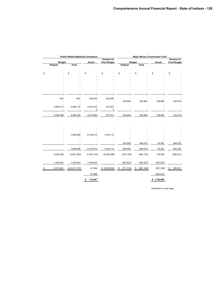|                     |             | <b>Major Moves Construction Fund</b> |                  |                     | <b>Public Welfare-Medicaid Assistance</b> |                |               |    |
|---------------------|-------------|--------------------------------------|------------------|---------------------|-------------------------------------------|----------------|---------------|----|
| Variance to         |             |                                      |                  | Variance to         |                                           |                |               |    |
| <b>Final Budget</b> | Actual      |                                      | <b>Budget</b>    | <b>Final Budget</b> | Actual                                    |                | <b>Budget</b> |    |
|                     |             | Final                                | Original         |                     |                                           | Final          | Original      |    |
| \$                  | \$          | \$                                   | \$               | \$                  | \$                                        | \$             |               | \$ |
|                     |             |                                      |                  |                     |                                           |                |               |    |
|                     |             |                                      |                  |                     |                                           |                |               |    |
|                     |             |                                      |                  |                     |                                           |                |               |    |
|                     |             |                                      |                  |                     |                                           |                |               |    |
|                     |             |                                      |                  |                     |                                           |                |               |    |
|                     |             |                                      |                  |                     |                                           |                |               |    |
|                     |             |                                      |                  | 230,280             | 230,923                                   | 643            | 643           |    |
| (63, 914)           | 156,980     | 220,894                              | 220,894          |                     |                                           |                |               |    |
|                     |             |                                      |                  |                     |                                           |                |               |    |
|                     |             |                                      |                  | 347,257             | 4,441,972                                 | 4,094,715      | 4,094,715     |    |
|                     |             |                                      |                  | 4                   | 4                                         |                |               |    |
| (63, 914)           | 156,980     | 220,894                              | 220,894          | 577,541             | 4,672,899                                 | 4,095,358      | 4,095,358     |    |
|                     |             |                                      |                  |                     |                                           |                |               |    |
|                     |             |                                      |                  |                     |                                           |                |               |    |
|                     |             |                                      |                  |                     |                                           |                |               |    |
|                     |             |                                      |                  | 1,516,115           | 6,130,473                                 | 7,646,588      |               |    |
|                     |             |                                      |                  |                     |                                           |                |               |    |
| 644,235             | 40,381      | 684,616                              | 535,000          |                     |                                           |                |               |    |
| 644,235             | 40,381      | 684,616                              | 535,000          | 1,516,115           | 6,130,473                                 | 7,646,588      |               |    |
| (580, 321)          | 116,599     | (463, 722)                           | (314, 106)       | (2,093,656)         | (1,457,574)                               | (3, 551, 230)  | 4,095,358     |    |
|                     | (397, 627)  | (397, 627)                           | (397, 627)       |                     | 1,479,523                                 | 1,479,523      | 1,479,523     |    |
| 580,321<br>\$       | (281, 028)  | (861, 349)<br>\$                     | (711, 733)<br>\$ | \$2,093,656         | 21,949                                    | \$ (2,071,707) | 5,574,881     | \$ |
|                     | 1,983,922   |                                      |                  |                     | 97,998                                    |                |               |    |
|                     | \$1,702,894 |                                      |                  |                     | 119,947<br>\$                             |                |               |    |

continued on next page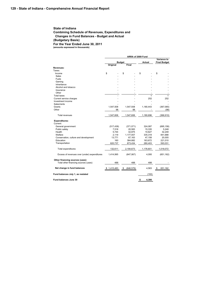### **State of Indiana Combining Schedule of Revenues, Expenditures and**

**Changes in Fund Balances - Budget and Actual**

**(Budgetary Basis)**

**For the Year Ended June 30, 2011**

**(amounts expressed in thousands)**

|                                                                         |                | ARRA of 2009 Fund |                  |                                    |  |  |
|-------------------------------------------------------------------------|----------------|-------------------|------------------|------------------------------------|--|--|
|                                                                         |                | <b>Budget</b>     | Actual           | Variance to<br><b>Final Budget</b> |  |  |
|                                                                         | Original       | <b>Final</b>      |                  |                                    |  |  |
| Revenues:                                                               |                |                   |                  |                                    |  |  |
| Taxes:                                                                  |                |                   |                  |                                    |  |  |
| Income                                                                  | \$             | \$                | \$               | \$                                 |  |  |
| Sales                                                                   |                |                   |                  |                                    |  |  |
| Fuels                                                                   |                |                   |                  |                                    |  |  |
| Gaming                                                                  |                |                   |                  |                                    |  |  |
| Inheritance                                                             |                |                   |                  |                                    |  |  |
| Alcohol and tobacco                                                     |                |                   |                  |                                    |  |  |
| Insurance                                                               |                |                   |                  |                                    |  |  |
| Other                                                                   |                |                   |                  |                                    |  |  |
| <b>Total taxes</b>                                                      |                |                   | 1                | 1                                  |  |  |
| Current service charges                                                 |                |                   | 252              | 252                                |  |  |
| Investment income                                                       |                |                   |                  |                                    |  |  |
| Sales/rents                                                             |                |                   |                  |                                    |  |  |
| Grants                                                                  | 1,547,508      | 1,547,508         | 1,180,443        | (367,065)                          |  |  |
| Other                                                                   | 98             | 98                |                  | (98)                               |  |  |
| <b>Total revenues</b>                                                   | 1,547,606      | 1,547,606         | 1,180,696        | (366, 910)                         |  |  |
| <b>Expenditures:</b>                                                    |                |                   |                  |                                    |  |  |
| Current:                                                                |                |                   |                  |                                    |  |  |
| General government                                                      | (517, 438)     | (371, 071)        | 324,087          | (695, 158)                         |  |  |
| Public safety<br>Health                                                 | 7,518<br>5,744 | 20,583<br>42,875  | 15,335<br>10,627 | 5,248<br>32,248                    |  |  |
| Welfare                                                                 | 2,119          | 1,177,007         | 335,319          | 841,688                            |  |  |
| Conservation, culture and development                                   | 13,771         | 67,163            | 47,158           | 20,005                             |  |  |
| Education                                                               | 160            | 384,682           | 163,672          | 221,010                            |  |  |
| Transportation                                                          | 620,737        | 873,434           | 280,403          | 593,031                            |  |  |
|                                                                         |                |                   |                  |                                    |  |  |
| Total expenditures                                                      | 132,611        | 2,194,673         | 1,176,601        | 1,018,072                          |  |  |
| Excess of revenues over (under) expenditures                            | 1,414,995      | (647,067)         | 4,095            | (651, 162)                         |  |  |
|                                                                         |                |                   |                  |                                    |  |  |
| Other financing sources (uses):<br>Total other financing sources (uses) | 488            | 488               | 488              |                                    |  |  |
|                                                                         |                |                   |                  |                                    |  |  |
| Net change in fund balances                                             | \$1,415,483    | \$<br>(646, 579)  | 4,583            | 651,162<br>\$                      |  |  |
| Fund balances July 1, as restated                                       |                |                   | (193)            |                                    |  |  |
| Fund balances June 30                                                   |                |                   | 4,390<br>\$      |                                    |  |  |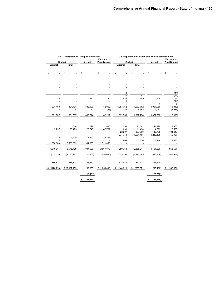|            |                |                | U.S. Department of Transportation Fund |                     |              | U.S. Department of Health and Human Services Fund |                     |                        |  |  |  |
|------------|----------------|----------------|----------------------------------------|---------------------|--------------|---------------------------------------------------|---------------------|------------------------|--|--|--|
|            |                |                |                                        | Variance to         |              |                                                   |                     | Variance to            |  |  |  |
|            | <b>Budget</b>  |                | Actual                                 | <b>Final Budget</b> |              | <b>Budget</b>                                     | Actual              | <b>Final Budget</b>    |  |  |  |
| Original   |                | Final          |                                        |                     | Original     | Final                                             |                     |                        |  |  |  |
| \$         |                | \$             | \$                                     | \$                  | \$           | \$                                                | \$                  | \$                     |  |  |  |
|            |                |                |                                        |                     |              |                                                   |                     |                        |  |  |  |
|            |                |                |                                        |                     |              |                                                   |                     |                        |  |  |  |
|            |                |                |                                        |                     |              |                                                   |                     |                        |  |  |  |
|            |                |                |                                        |                     |              |                                                   |                     |                        |  |  |  |
|            |                |                |                                        |                     | 44           | 44                                                |                     | (44)                   |  |  |  |
|            |                |                |                                        |                     | 44           | 44                                                |                     | (44)                   |  |  |  |
|            | 3              | 3              | 183                                    | 180                 | 589          | 589                                               | 744                 | 155                    |  |  |  |
|            |                |                |                                        |                     | 11<br>÷,     | 11                                                | ÷<br>$\overline{7}$ | (11)<br>$\overline{7}$ |  |  |  |
| 801,468    |                | 801,468        | 883,530                                | 82,062              | 1,083,762    | 1,083,762                                         | 1,067,950           | (15, 812)              |  |  |  |
|            | 36             | 36             | 11                                     | (25)                | 8,352        | 8,352                                             | 4,067               | (4, 285)               |  |  |  |
| 801,507    |                | 801,507        | 883,724                                | 82,217              | 1,092,758    | 1,092,758                                         | 1,072,768           | (19,990)               |  |  |  |
|            |                |                |                                        |                     |              |                                                   |                     |                        |  |  |  |
|            | $\overline{2}$ | 1,360          | 527                                    | 833                 | 258          | 21,802                                            | 11,999              | 9,803                  |  |  |  |
| 5,237      |                | 63,475         | 20,743                                 | 42,732              | 1,691        | 11,430                                            | 4,895               | 6,535                  |  |  |  |
|            |                |                |                                        |                     | 22,207       | 337,390                                           | 142,750             | 194,640                |  |  |  |
| 3,018      |                | ٠<br>4,609     | 1,351                                  | ٠<br>3,258          | 234,343<br>٠ | 1,991,495                                         | 1,240,498           | 750,997                |  |  |  |
|            |                |                |                                        |                     | 864          | 3,130                                             | 1,444               | 1,686                  |  |  |  |
| 1,308,360  |                | 3,506,035      | 984,985                                | 2,521,050           |              |                                                   |                     |                        |  |  |  |
| 1,316,617  |                | 3,575,479      | 1,007,606                              | 2,567,873           | 259,363      | 2,365,247                                         | 1,401,586           | 963,661                |  |  |  |
| (515, 110) |                | (2,773,972)    | (123, 882)                             | (2,650,090)         | 833,395      | (1,272,489)                                       | (328, 818)          | (943, 671)             |  |  |  |
| 386,817    |                | 386,817        | 386,817                                |                     | 313,418      | 313,418                                           | 313,418             |                        |  |  |  |
| (128, 293) |                | \$ (2,387,155) | 262,935                                | \$2,650,090         | \$1,146,813  | (959, 071)<br>\$                                  | (15,400)            | 943,671<br>\$          |  |  |  |
|            |                |                | (119, 461)                             |                     |              |                                                   | (125, 750)          |                        |  |  |  |
|            |                |                |                                        |                     |              |                                                   |                     |                        |  |  |  |
|            |                |                | 143,474<br>\$                          |                     |              |                                                   | (141, 150)          |                        |  |  |  |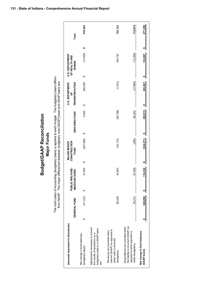**Budget/GAAP Reconciliation Budget/GAAP Reconciliation Major Funds Major Funds**

The cash basis of accounting (budgetary basis) is applied to each budget. The budgetary basis differs<br>from GAAP. The major differences between budgetary (non-GAAP) basis and GAAP basis are: The cash basis of accounting (budgetary basis) is applied to each budget. The budgetary basis differs from GAAP. The major differences between budgetary (non-GAAP) basis and GAAP basis are:

| (amounts expressed in thousands)                                                                                        |   | GENERAL FUND | PUBLIC WELFARE-<br><b>MEDICAID ASSIS</b> |          | CONSTRUCTION<br><b>MAJOR MOVES</b><br><b>POND</b> | 2009 ARRA FUND |            | U.S. DEPARTMENT<br><b>TRANSPORTATION</b><br>ő |   | U.S. DEPARTMENT<br>OF HEALTH AND<br><b>HUMAN</b> |    | Total   |
|-------------------------------------------------------------------------------------------------------------------------|---|--------------|------------------------------------------|----------|---------------------------------------------------|----------------|------------|-----------------------------------------------|---|--------------------------------------------------|----|---------|
| Net change in fund balances<br>(budgetary basis)                                                                        | ↮ | 417,223      | 21,949<br>မာ                             | ↮        | (281, 028)                                        | ↮              | ↮<br>4,583 | 262,935                                       | ↮ | (15,400)                                         | မာ | 410,262 |
| Adjustments necessary to convert<br>budgetary basis to a GAAP basis<br>the results of operations on a<br>are:           |   |              |                                          |          |                                                   |                |            |                                               |   |                                                  |    |         |
| earned (GAAP) as opposed to<br>Revenues are recorded when<br>when cash is received<br>(budgetary)                       |   | 80,928       | 34,920                                   |          | (43, 115)                                         | (82, 798)      |            | (1,533)                                       |   | 164,720                                          |    | 153,122 |
| the liability is incurred (GAAP) as<br>Expenditures are recorded when<br>opposed to when payment is<br>made (budgetary) |   | 50,741       | 57,485                                   |          | (228)                                             | 38,304         |            | (17, 995)                                     |   | (14, 393)                                        |    | 113,914 |
| Net change in fund balances<br>(GAAP basis)                                                                             |   | 548,892      | 114,354                                  | $\theta$ | (324, 371)                                        | (39, 911)      |            | 243,407                                       | ₩ | 134,927                                          |    | 677,298 |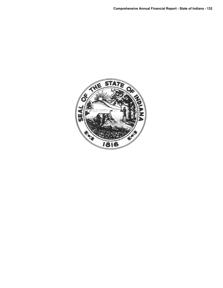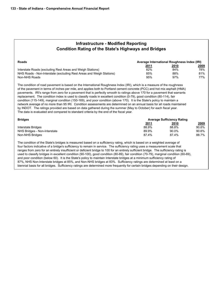| Infrastructure - Modified Reporting                         |
|-------------------------------------------------------------|
| <b>Condition Rating of the State's Highways and Bridges</b> |

| <b>Roads</b>                                                         | Average International Roughness Index (IRI) |             |              |
|----------------------------------------------------------------------|---------------------------------------------|-------------|--------------|
|                                                                      | <u> 2011</u>                                | <u>2010</u> | <u> 2009</u> |
| Interstate Roads (excluding Rest Areas and Weigh Stations)           | 82%                                         | 84%         | 78%          |
| NHS Roads - Non-Interstate (excluding Rest Areas and Weigh Stations) | 85%                                         | 88%         | 81%          |
| Non-NHS Roads                                                        | 95%                                         | 97%         | 77%          |

The condition of road pavement is based on the International Roughness Index (IRI), which is a measure of the roughness of the pavement in terms of inches per mile, and applies both to Portland cement concrete (PCC) and hot mix asphalt (HMA) pavements. IRI's range from zero for a pavement that is perfectly smooth to ratings above 170 for a pavement that warrants replacement. The condition index is used to classify roads in excellent condition (0-79), good condition (80-114), fair condition (115-149), marginal condition (150-169), and poor condition (above 170). It is the State's policy to maintain a network average of no more than 95 IRI. Condition assessments are determined on an annual basis for all roads maintained by INDOT. The ratings provided are based on data gathered during the summer (May to October) for each fiscal year. The data is evaluated and compared to standard criteria by the end of the fiscal year.

| <b>Bridges</b>               |              | <b>Average Sufficiency Rating</b> |       |
|------------------------------|--------------|-----------------------------------|-------|
|                              | <u> 2011</u> | <u> 2010</u>                      | 2009  |
| Interstate Bridges           | 88.9%        | 88.8%                             | 90.6% |
| NHS Bridges - Non-Interstate | 89.9%        | 90.0%                             | 90.6% |
| Non-NHS Bridges              | 87.4%        | 87.4%                             | 88.7% |

The condition of the State's bridges is measured based on a sufficiency rating, which is based on a weighted average of four factors indicative of a bridge's sufficiency to remain in service. The sufficiency rating uses a measurement scale that ranges from zero for an entirely insufficient or deficient bridge to 100 for an entirely sufficient bridge. The sufficiency rating is used to classify bridges in excellent condition (90-100), good condition (80-89), fair condition (70-79), marginal condition (60-69), and poor condition (below 60). It is the State's policy to maintain Interstate bridges at a minimum sufficiency rating of 87%, NHS Non-Interstate bridges at 85%, and Non-NHS bridges at 83%. Sufficiency ratings are determined at least on a biennial basis for all bridges. Sufficiency ratings are determined more frequently for certain bridges depending on their design.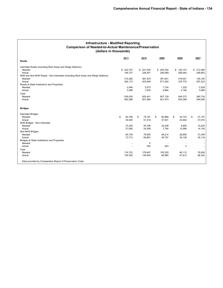| <b>Infrastructure - Modified Reporting</b><br><b>Comparison of Needed-to-Actual Maintenance/Preservation</b><br>(dollars in thousands)                                                                                                                                                 |                                                                                      |                                                                                                  |                                                                                           |                                                                                        |                                                                                                                                            |
|----------------------------------------------------------------------------------------------------------------------------------------------------------------------------------------------------------------------------------------------------------------------------------------|--------------------------------------------------------------------------------------|--------------------------------------------------------------------------------------------------|-------------------------------------------------------------------------------------------|----------------------------------------------------------------------------------------|--------------------------------------------------------------------------------------------------------------------------------------------|
| Roads                                                                                                                                                                                                                                                                                  | 2011                                                                                 | 2010                                                                                             | 2009                                                                                      | 2008                                                                                   | 2007                                                                                                                                       |
| Interstate Roads (including Rest Areas and Weigh Stations):<br>Needed<br>Actual<br>NHS and Non-NHS Roads - Non-Interstate (including Rest Areas and Weigh Stations)<br>Needed<br>Actual<br>Roads at State Institutions and Properties<br>Needed<br>Actual<br>Total<br>Needed<br>Actual | \$ 222,707<br>194,727<br>314,282<br>364,173<br>2,046<br>3,386<br>539,035<br>562,286  | \$ 241,935<br>226,401<br>381,433<br>423,949<br>2,073<br>1,635<br>625,441<br>651,985              | \$ 263,764<br>246,089<br>391,641<br>571,000<br>1,734<br>4,884<br>657,139<br>821,973       | \$120,147<br>256,482<br>419,001<br>374,770<br>1,225<br>3,146<br>540,373<br>634,398     | \$212,485<br>248,803<br>145,720<br>297,223<br>2,529<br>3,069<br>360,734<br>549,095                                                         |
| <b>Bridges</b>                                                                                                                                                                                                                                                                         |                                                                                      |                                                                                                  |                                                                                           |                                                                                        |                                                                                                                                            |
| <b>Interstate Bridges</b><br>Needed<br>Actual<br>NHS Bridges - Non-Interstate<br>Needed<br>Actual<br>Non-NHS Bridges<br>Needed<br>Actual<br>Bridges at State Institutions and Properties<br>Needed<br>Actual<br>Total<br>Needed<br>Actual                                              | \$<br>62,746<br>54,505<br>27,240<br>27,085<br>84,736<br>73,713<br>174,722<br>155,303 | \$<br>75,181<br>51,416<br>25,706<br>24,299<br>79,055<br>60,861<br>5<br>354<br>179,947<br>136,930 | \$<br>82,668<br>37,931<br>24,438<br>7,794<br>48.214<br>39,707<br>253<br>155.320<br>85,685 | \$<br>34,723<br>43,904<br>4,695<br>13,568<br>26.694<br>34,138<br>3<br>66.112<br>91,613 | \$<br>37,157<br>37,070<br>10,220<br>14,154<br>31,549<br>35,118<br>$\overline{\phantom{a}}$<br>$\overline{\phantom{a}}$<br>78,926<br>86,342 |
| Data provided by Comparative Report of Preservation Costs                                                                                                                                                                                                                              |                                                                                      |                                                                                                  |                                                                                           |                                                                                        |                                                                                                                                            |